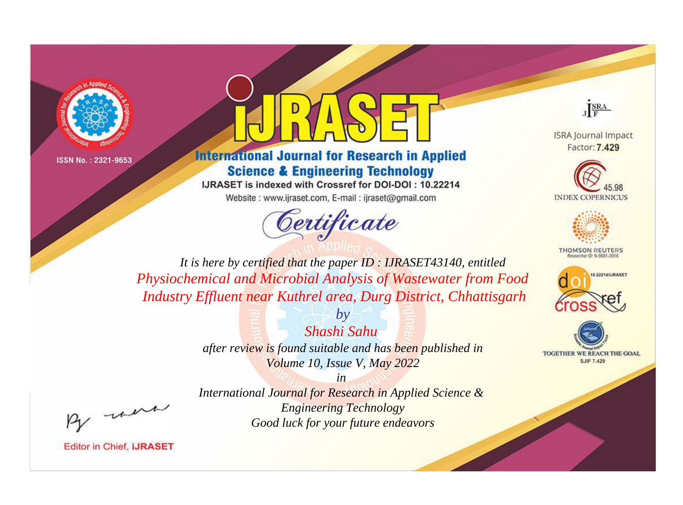



# **International Journal for Research in Applied Science & Engineering Technology**

IJRASET is indexed with Crossref for DOI-DOI: 10.22214 Website: www.ijraset.com, E-mail: ijraset@gmail.com





**ISRA Journal Impact** Factor: 7.429





**THOMSON REUTERS** 



TOGETHER WE REACH THE GOAL **SJIF 7.429** 

*It is here by certified that the paper ID : IJRASET43140, entitled Physiochemical and Microbial Analysis of Wastewater from Food Industry Effluent near Kuthrel area, Durg District, Chhattisgarh*

> *by Shashi Sahu after review is found suitable and has been published in Volume 10, Issue V, May 2022*

, un

*International Journal for Research in Applied Science & Engineering Technology Good luck for your future endeavors*

*in*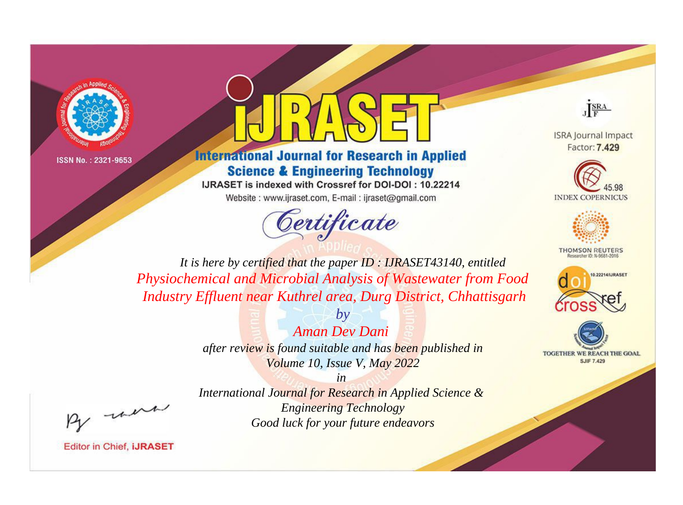



# **International Journal for Research in Applied Science & Engineering Technology**

IJRASET is indexed with Crossref for DOI-DOI: 10.22214 Website: www.ijraset.com, E-mail: ijraset@gmail.com





**ISRA Journal Impact** Factor: 7.429





**THOMSON REUTERS** 



TOGETHER WE REACH THE GOAL **SJIF 7.429** 

*It is here by certified that the paper ID : IJRASET43140, entitled Physiochemical and Microbial Analysis of Wastewater from Food Industry Effluent near Kuthrel area, Durg District, Chhattisgarh*

> *by Aman Dev Dani after review is found suitable and has been published in Volume 10, Issue V, May 2022*

, un

*International Journal for Research in Applied Science & Engineering Technology Good luck for your future endeavors*

*in*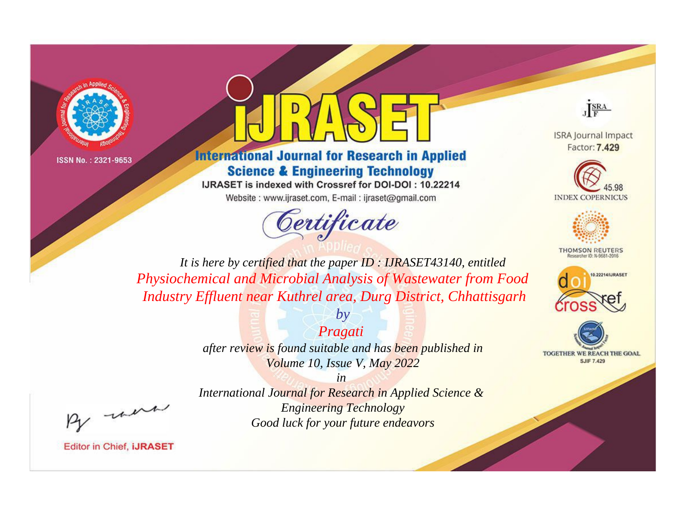



# **International Journal for Research in Applied Science & Engineering Technology**

IJRASET is indexed with Crossref for DOI-DOI: 10.22214 Website: www.ijraset.com, E-mail: ijraset@gmail.com





**ISRA Journal Impact** Factor: 7.429





**THOMSON REUTERS** 



TOGETHER WE REACH THE GOAL **SJIF 7.429** 

*It is here by certified that the paper ID : IJRASET43140, entitled Physiochemical and Microbial Analysis of Wastewater from Food Industry Effluent near Kuthrel area, Durg District, Chhattisgarh*

> *Pragati after review is found suitable and has been published in Volume 10, Issue V, May 2022*

> > *in*

*by*

, un

*International Journal for Research in Applied Science & Engineering Technology Good luck for your future endeavors*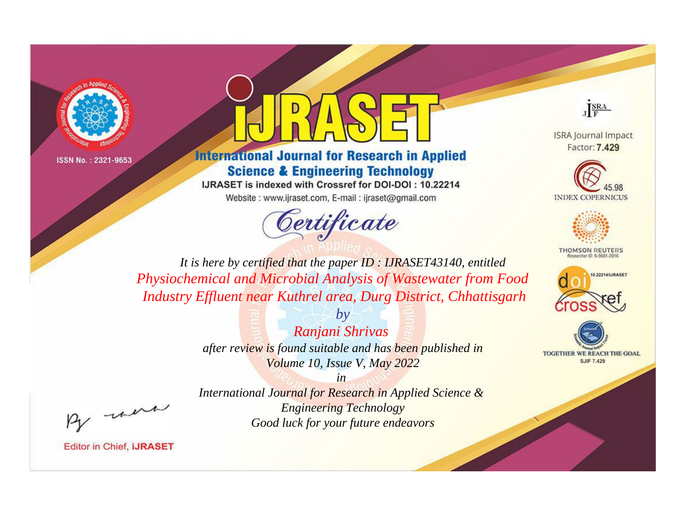



# **International Journal for Research in Applied Science & Engineering Technology**

IJRASET is indexed with Crossref for DOI-DOI: 10.22214 Website: www.ijraset.com, E-mail: ijraset@gmail.com





**ISRA Journal Impact** Factor: 7.429





**THOMSON REUTERS** 



TOGETHER WE REACH THE GOAL **SJIF 7.429** 

*It is here by certified that the paper ID : IJRASET43140, entitled Physiochemical and Microbial Analysis of Wastewater from Food Industry Effluent near Kuthrel area, Durg District, Chhattisgarh*

> *by Ranjani Shrivas after review is found suitable and has been published in Volume 10, Issue V, May 2022*

, un

*International Journal for Research in Applied Science & Engineering Technology Good luck for your future endeavors*

*in*